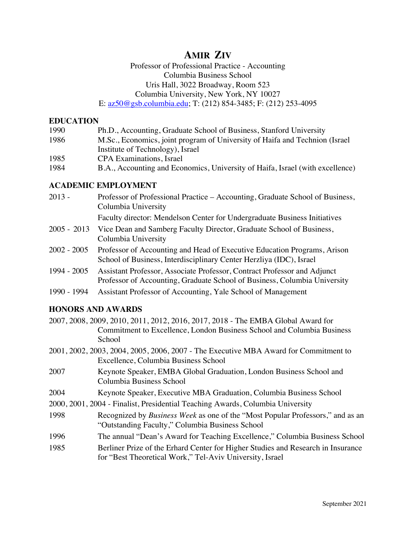# **AMIR ZIV**

# Professor of Professional Practice - Accounting Columbia Business School Uris Hall, 3022 Broadway, Room 523 Columbia University, New York, NY 10027

E: az50@gsb.columbia.edu; T: (212) 854-3485; F: (212) 253-4095

### **EDUCATION**

| 1990 | Ph.D., Accounting, Graduate School of Business, Stanford University           |
|------|-------------------------------------------------------------------------------|
| 1986 | M.Sc., Economics, joint program of University of Haifa and Technion (Israel   |
|      | Institute of Technology), Israel                                              |
| 1985 | CPA Examinations, Israel                                                      |
| 1984 | B.A., Accounting and Economics, University of Haifa, Israel (with excellence) |

### **ACADEMIC EMPLOYMENT**

2013 - Professor of Professional Practice – Accounting, Graduate School of Business, Columbia University

Faculty director: Mendelson Center for Undergraduate Business Initiatives

- 2005 2013 Vice Dean and Samberg Faculty Director, Graduate School of Business, Columbia University
- 2002 2005 Professor of Accounting and Head of Executive Education Programs, Arison School of Business, Interdisciplinary Center Herzliya (IDC), Israel
- 1994 2005 Assistant Professor, Associate Professor, Contract Professor and Adjunct Professor of Accounting, Graduate School of Business, Columbia University
- 1990 1994 Assistant Professor of Accounting, Yale School of Management

## **HONORS AND AWARDS**

- 2007, 2008, 2009, 2010, 2011, 2012, 2016, 2017, 2018 The EMBA Global Award for Commitment to Excellence, London Business School and Columbia Business School
- 2001, 2002, 2003, 2004, 2005, 2006, 2007 The Executive MBA Award for Commitment to Excellence, Columbia Business School
- 2007 Keynote Speaker, EMBA Global Graduation, London Business School and Columbia Business School
- 2004 Keynote Speaker, Executive MBA Graduation, Columbia Business School
- 2000, 2001, 2004 Finalist, Presidential Teaching Awards, Columbia University
- 1998 Recognized by *Business Week* as one of the "Most Popular Professors," and as an "Outstanding Faculty," Columbia Business School
- 1996 The annual "Dean's Award for Teaching Excellence," Columbia Business School
- 1985 Berliner Prize of the Erhard Center for Higher Studies and Research in Insurance for "Best Theoretical Work," Tel-Aviv University, Israel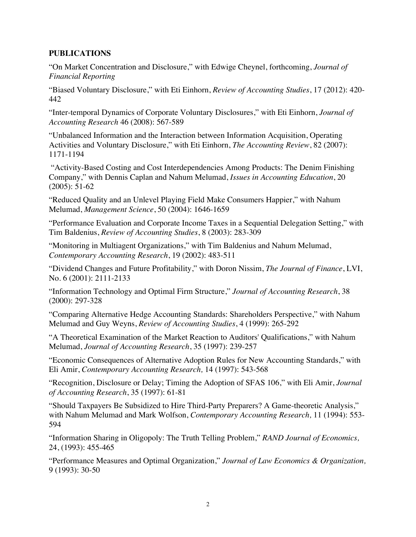#### **PUBLICATIONS**

"On Market Concentration and Disclosure," with Edwige Cheynel, forthcoming, *Journal of Financial Reporting*

"Biased Voluntary Disclosure," with Eti Einhorn, *Review of Accounting Studies*, 17 (2012): 420- 442

"Inter-temporal Dynamics of Corporate Voluntary Disclosures," with Eti Einhorn, *Journal of Accounting Research* 46 (2008): 567-589

"Unbalanced Information and the Interaction between Information Acquisition, Operating Activities and Voluntary Disclosure," with Eti Einhorn, *The Accounting Review*, 82 (2007): 1171-1194

"Activity-Based Costing and Cost Interdependencies Among Products: The Denim Finishing Company," with Dennis Caplan and Nahum Melumad, *Issues in Accounting Education*, 20 (2005): 51-62

"Reduced Quality and an Unlevel Playing Field Make Consumers Happier," with Nahum Melumad, *Management Science*, 50 (2004): 1646-1659

"Performance Evaluation and Corporate Income Taxes in a Sequential Delegation Setting," with Tim Baldenius, *Review of Accounting Studies*, 8 (2003): 283-309

"Monitoring in Multiagent Organizations," with Tim Baldenius and Nahum Melumad, *Contemporary Accounting Research*, 19 (2002): 483-511

"Dividend Changes and Future Profitability," with Doron Nissim, *The Journal of Finance*, LVI, No. 6 (2001): 2111-2133

"Information Technology and Optimal Firm Structure," *Journal of Accounting Research*, 38 (2000): 297-328

"Comparing Alternative Hedge Accounting Standards: Shareholders Perspective," with Nahum Melumad and Guy Weyns, *Review of Accounting Studies*, 4 (1999): 265-292

"A Theoretical Examination of the Market Reaction to Auditors' Qualifications," with Nahum Melumad, *Journal of Accounting Research*, 35 (1997): 239-257

"Economic Consequences of Alternative Adoption Rules for New Accounting Standards," with Eli Amir, *Contemporary Accounting Research,* 14 (1997): 543-568

"Recognition, Disclosure or Delay; Timing the Adoption of SFAS 106," with Eli Amir, *Journal of Accounting Research*, 35 (1997): 61-81

"Should Taxpayers Be Subsidized to Hire Third-Party Preparers? A Game-theoretic Analysis," with Nahum Melumad and Mark Wolfson, *Contemporary Accounting Research,* 11 (1994): 553- 594

"Information Sharing in Oligopoly: The Truth Telling Problem," *RAND Journal of Economics,*  24, (1993): 455-465

"Performance Measures and Optimal Organization," *Journal of Law Economics & Organization,*  9 (1993): 30-50